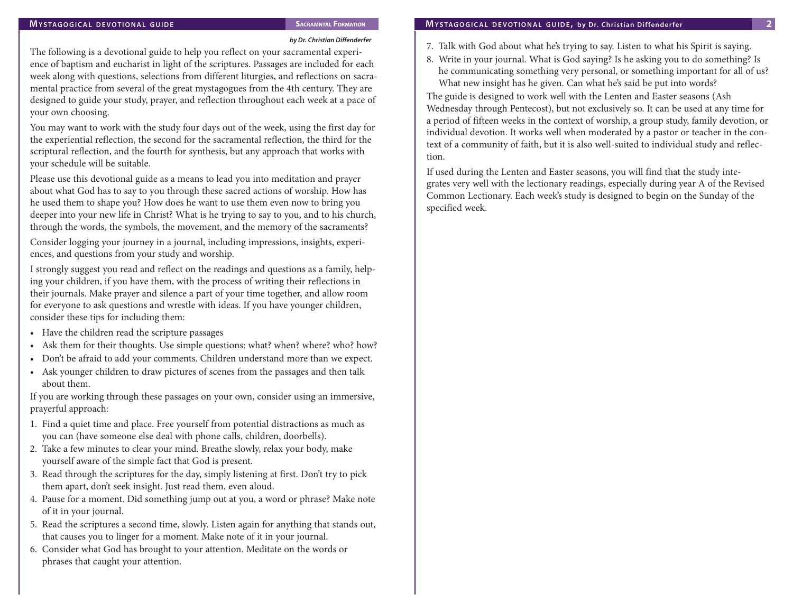The following is a devotional guide to help you reflect on your sacramental experience of baptism and eucharist in light of the scriptures. Passages are included for each week along with questions, selections from different liturgies, and reflections on sacramental practice from several of the great mystagogues from the 4th century. They are designed to guide your study, prayer, and reflection throughout each week at a pace of your own choosing.

You may want to work with the study four days out of the week, using the first day for the experiential reflection, the second for the sacramental reflection, the third for the scriptural reflection, and the fourth for synthesis, but any approach that works with your schedule will be suitable.

Please use this devotional guide as a means to lead you into meditation and prayer about what God has to say to you through these sacred actions of worship. How has he used them to shape you? How does he want to use them even now to bring you deeper into your new life in Christ? What is he trying to say to you, and to his church, through the words, the symbols, the movement, and the memory of the sacraments?

Consider logging your journey in a journal, including impressions, insights, experiences, and questions from your study and worship.

I strongly suggest you read and reflect on the readings and questions as a family, helping your children, if you have them, with the process of writing their reflections in their journals. Make prayer and silence a part of your time together, and allow room for everyone to ask questions and wrestle with ideas. If you have younger children, consider these tips for including them:

- Have the children read the scripture passages
- Ask them for their thoughts. Use simple questions: what? when? where? who? how?
- • Don't be afraid to add your comments. Children understand more than we expect.
- • Ask younger children to draw pictures of scenes from the passages and then talk about them.

If you are working through these passages on your own, consider using an immersive, prayerful approach:

- 1. Find a quiet time and place. Free yourself from potential distractions as much as you can (have someone else deal with phone calls, children, doorbells).
- 2. Take a few minutes to clear your mind. Breathe slowly, relax your body, make yourself aware of the simple fact that God is present.
- 3. Read through the scriptures for the day, simply listening at first. Don't try to pick them apart, don't seek insight. Just read them, even aloud.
- 4. Pause for a moment. Did something jump out at you, a word or phrase? Make note of it in your journal.
- 5. Read the scriptures a second time, slowly. Listen again for anything that stands out, that causes you to linger for a moment. Make note of it in your journal.
- 6. Consider what God has brought to your attention. Meditate on the words or phrases that caught your attention.

# MYSTAGOGICAL DEVOTIONAL GUIDE SACRAMNTAL FORMATION MYSTAGOGICAL DEVOTIONAL GUIDE, by Dr. Christian Diffenderfer

- *by Dr. Christian Diffenderfer* 7. Talk with God about what he's trying to say. Listen to what his Spirit is saying.
	- 8. Write in your journal. What is God saying? Is he asking you to do something? Is he communicating something very personal, or something important for all of us? What new insight has he given. Can what he's said be put into words?

The guide is designed to work well with the Lenten and Easter seasons (Ash Wednesday through Pentecost), but not exclusively so. It can be used at any time for a period of fifteen weeks in the context of worship, a group study, family devotion, or individual devotion. It works well when moderated by a pastor or teacher in the context of a community of faith, but it is also well-suited to individual study and reflection.

If used during the Lenten and Easter seasons, you will find that the study integrates very well with the lectionary readings, especially during year A of the Revised Common Lectionary. Each week's study is designed to begin on the Sunday of the specified week.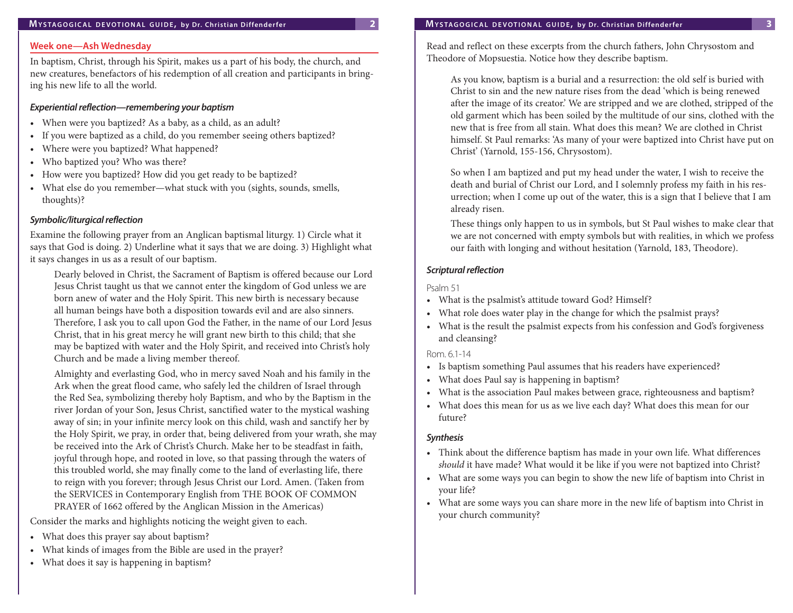## **Week one—Ash Wednesday**

In baptism, Christ, through his Spirit, makes us a part of his body, the church, and new creatures, benefactors of his redemption of all creation and participants in bringing his new life to all the world.

### *Experiential reflection—remembering your baptism*

- When were you baptized? As a baby, as a child, as an adult?
- If you were baptized as a child, do you remember seeing others baptized?
- Where were you baptized? What happened?
- Who baptized you? Who was there?
- • How were you baptized? How did you get ready to be baptized?
- • What else do you remember—what stuck with you (sights, sounds, smells, thoughts)?

# *Symbolic/liturgical reflection*

Examine the following prayer from an Anglican baptismal liturgy. 1) Circle what it says that God is doing. 2) Underline what it says that we are doing. 3) Highlight what it says changes in us as a result of our baptism.

Dearly beloved in Christ, the Sacrament of Baptism is offered because our Lord Jesus Christ taught us that we cannot enter the kingdom of God unless we are born anew of water and the Holy Spirit. This new birth is necessary because all human beings have both a disposition towards evil and are also sinners. Therefore, I ask you to call upon God the Father, in the name of our Lord Jesus Christ, that in his great mercy he will grant new birth to this child; that she may be baptized with water and the Holy Spirit, and received into Christ's holy Church and be made a living member thereof.

Almighty and everlasting God, who in mercy saved Noah and his family in the Ark when the great flood came, who safely led the children of Israel through the Red Sea, symbolizing thereby holy Baptism, and who by the Baptism in the river Jordan of your Son, Jesus Christ, sanctified water to the mystical washing away of sin; in your infinite mercy look on this child, wash and sanctify her by the Holy Spirit, we pray, in order that, being delivered from your wrath, she may be received into the Ark of Christ's Church. Make her to be steadfast in faith, joyful through hope, and rooted in love, so that passing through the waters of this troubled world, she may finally come to the land of everlasting life, there to reign with you forever; through Jesus Christ our Lord. Amen. (Taken from the SERVICES in Contemporary English from THE BOOK OF COMMON PRAYER of 1662 offered by the Anglican Mission in the Americas)

Consider the marks and highlights noticing the weight given to each.

- • What does this prayer say about baptism?
- • What kinds of images from the Bible are used in the prayer?
- • What does it say is happening in baptism?

Read and reflect on these excerpts from the church fathers, John Chrysostom and Theodore of Mopsuestia. Notice how they describe baptism.

As you know, baptism is a burial and a resurrection: the old self is buried with Christ to sin and the new nature rises from the dead 'which is being renewed after the image of its creator.' We are stripped and we are clothed, stripped of the old garment which has been soiled by the multitude of our sins, clothed with the new that is free from all stain. What does this mean? We are clothed in Christ himself. St Paul remarks: 'As many of your were baptized into Christ have put on Christ' (Yarnold, 155-156, Chrysostom).

So when I am baptized and put my head under the water, I wish to receive the death and burial of Christ our Lord, and I solemnly profess my faith in his resurrection; when I come up out of the water, this is a sign that I believe that I am already risen.

These things only happen to us in symbols, but St Paul wishes to make clear that we are not concerned with empty symbols but with realities, in which we profess our faith with longing and without hesitation (Yarnold, 183, Theodore).

# *Scriptural reflection*

#### Psalm 51

- • What is the psalmist's attitude toward God? Himself?
- What role does water play in the change for which the psalmist prays?
- What is the result the psalmist expects from his confession and God's forgiveness and cleansing?

Rom. 6.1-14

- Is baptism something Paul assumes that his readers have experienced?
- • What does Paul say is happening in baptism?
- • What is the association Paul makes between grace, righteousness and baptism?
- What does this mean for us as we live each day? What does this mean for our future?

- Think about the difference baptism has made in your own life. What differences *should* it have made? What would it be like if you were not baptized into Christ?
- • What are some ways you can begin to show the new life of baptism into Christ in your life?
- • What are some ways you can share more in the new life of baptism into Christ in your church community?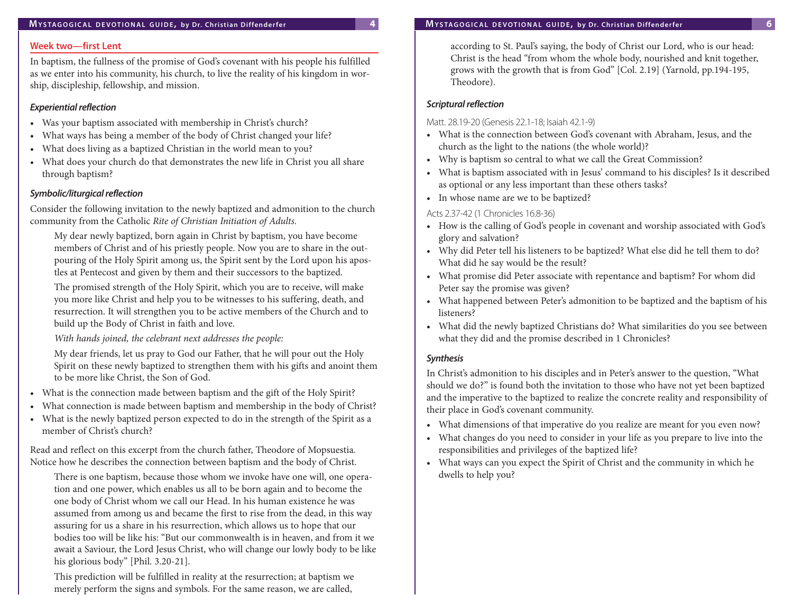#### **Week two—first Lent**

In baptism, the fullness of the promise of God's covenant with his people his fulfilled as we enter into his community, his church, to live the reality of his kingdom in worship, discipleship, fellowship, and mission.

#### *Experiential reflection*

- Was your baptism associated with membership in Christ's church?
- What ways has being a member of the body of Christ changed your life?
- What does living as a baptized Christian in the world mean to you?
- What does your church do that demonstrates the new life in Christ you all share through baptism?

## *Symbolic/liturgical reflection*

Consider the following invitation to the newly baptized and admonition to the church community from the Catholic *Rite of Christian Initiation of Adults.*

My dear newly baptized, born again in Christ by baptism, you have become members of Christ and of his priestly people. Now you are to share in the outpouring of the Holy Spirit among us, the Spirit sent by the Lord upon his apostles at Pentecost and given by them and their successors to the baptized.

The promised strength of the Holy Spirit, which you are to receive, will make you more like Christ and help you to be witnesses to his suffering, death, and resurrection. It will strengthen you to be active members of the Church and to build up the Body of Christ in faith and love.

*With hands joined, the celebrant next addresses the people:*

My dear friends, let us pray to God our Father, that he will pour out the Holy Spirit on these newly baptized to strengthen them with his gifts and anoint them to be more like Christ, the Son of God.

- What is the connection made between baptism and the gift of the Holy Spirit?
- What connection is made between baptism and membership in the body of Christ?
- • What is the newly baptized person expected to do in the strength of the Spirit as a member of Christ's church?

Read and reflect on this excerpt from the church father, Theodore of Mopsuestia. Notice how he describes the connection between baptism and the body of Christ.

There is one baptism, because those whom we invoke have one will, one operation and one power, which enables us all to be born again and to become the one body of Christ whom we call our Head. In his human existence he was assumed from among us and became the first to rise from the dead, in this way assuring for us a share in his resurrection, which allows us to hope that our bodies too will be like his: "But our commonwealth is in heaven, and from it we await a Saviour, the Lord Jesus Christ, who will change our lowly body to be like his glorious body" [Phil. 3.20-21].

This prediction will be fulfilled in reality at the resurrection; at baptism we merely perform the signs and symbols. For the same reason, we are called,

according to St. Paul's saying, the body of Christ our Lord, who is our head: Christ is the head "from whom the whole body, nourished and knit together, grows with the growth that is from God" [Col. 2.19] (Yarnold, pp.194-195, Theodore).

#### *Scriptural reflection*

**4**

Matt. 28.19-20 (Genesis 22.1-18; Isaiah 42.1-9)

- What is the connection between God's covenant with Abraham, Jesus, and the church as the light to the nations (the whole world)?
- • Why is baptism so central to what we call the Great Commission?
- • What is baptism associated with in Jesus' command to his disciples? Is it described as optional or any less important than these others tasks?
- In whose name are we to be baptized?

Acts 2.37-42 (1 Chronicles 16.8-36)

- • How is the calling of God's people in covenant and worship associated with God's glory and salvation?
- • Why did Peter tell his listeners to be baptized? What else did he tell them to do? What did he say would be the result?
- • What promise did Peter associate with repentance and baptism? For whom did Peter say the promise was given?
- • What happened between Peter's admonition to be baptized and the baptism of his listeners?
- • What did the newly baptized Christians do? What similarities do you see between what they did and the promise described in 1 Chronicles?

#### *Synthesis*

In Christ's admonition to his disciples and in Peter's answer to the question, "What should we do?" is found both the invitation to those who have not yet been baptized and the imperative to the baptized to realize the concrete reality and responsibility of their place in God's covenant community.

- What dimensions of that imperative do you realize are meant for you even now?
- What changes do you need to consider in your life as you prepare to live into the responsibilities and privileges of the baptized life?
- What ways can you expect the Spirit of Christ and the community in which he dwells to help you?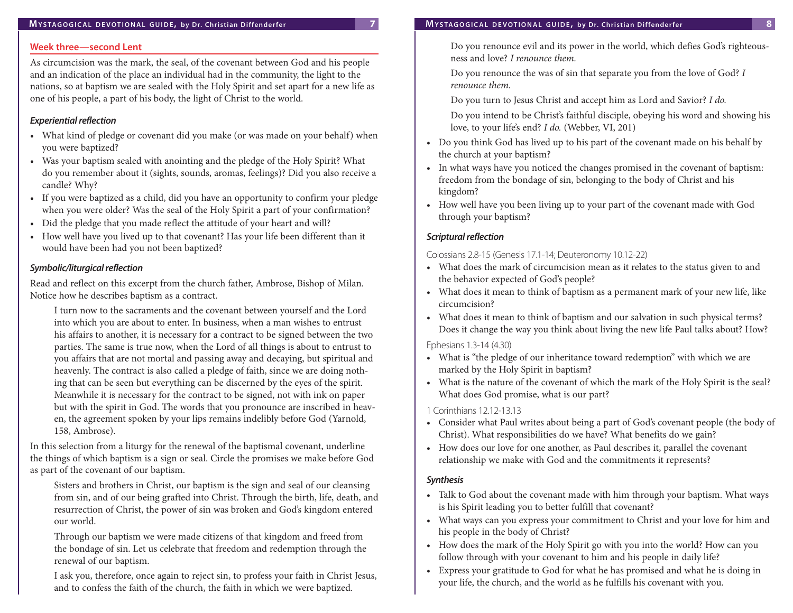### **Week three—second Lent**

As circumcision was the mark, the seal, of the covenant between God and his people and an indication of the place an individual had in the community, the light to the nations, so at baptism we are sealed with the Holy Spirit and set apart for a new life as one of his people, a part of his body, the light of Christ to the world.

## *Experiential reflection*

- • What kind of pledge or covenant did you make (or was made on your behalf) when you were baptized?
- • Was your baptism sealed with anointing and the pledge of the Holy Spirit? What do you remember about it (sights, sounds, aromas, feelings)? Did you also receive a candle? Why?
- If you were baptized as a child, did you have an opportunity to confirm your pledge when you were older? Was the seal of the Holy Spirit a part of your confirmation?
- Did the pledge that you made reflect the attitude of your heart and will?
- • How well have you lived up to that covenant? Has your life been different than it would have been had you not been baptized?

## *Symbolic/liturgical reflection*

Read and reflect on this excerpt from the church father, Ambrose, Bishop of Milan. Notice how he describes baptism as a contract.

I turn now to the sacraments and the covenant between yourself and the Lord into which you are about to enter. In business, when a man wishes to entrust his affairs to another, it is necessary for a contract to be signed between the two parties. The same is true now, when the Lord of all things is about to entrust to you affairs that are not mortal and passing away and decaying, but spiritual and heavenly. The contract is also called a pledge of faith, since we are doing nothing that can be seen but everything can be discerned by the eyes of the spirit. Meanwhile it is necessary for the contract to be signed, not with ink on paper but with the spirit in God. The words that you pronounce are inscribed in heaven, the agreement spoken by your lips remains indelibly before God (Yarnold, 158, Ambrose).

In this selection from a liturgy for the renewal of the baptismal covenant, underline the things of which baptism is a sign or seal. Circle the promises we make before God as part of the covenant of our baptism.

Sisters and brothers in Christ, our baptism is the sign and seal of our cleansing from sin, and of our being grafted into Christ. Through the birth, life, death, and resurrection of Christ, the power of sin was broken and God's kingdom entered our world.

Through our baptism we were made citizens of that kingdom and freed from the bondage of sin. Let us celebrate that freedom and redemption through the renewal of our baptism.

I ask you, therefore, once again to reject sin, to profess your faith in Christ Jesus, and to confess the faith of the church, the faith in which we were baptized.

#### **My s ta g o g i c a l d e v o t i o n a l g u i d e , by Dr. Christian Diffenderfer 7 My s ta g o g i c a l d e v o t i o n a l g u i d e , by Dr. Christian Diffenderfer 8**

Do you renounce evil and its power in the world, which defies God's righteousness and love? *I renounce them.*

Do you renounce the was of sin that separate you from the love of God? *I renounce them.*

Do you turn to Jesus Christ and accept him as Lord and Savior? *I do.*

Do you intend to be Christ's faithful disciple, obeying his word and showing his love, to your life's end? *I do.* (Webber, VI, 201)

- • Do you think God has lived up to his part of the covenant made on his behalf by the church at your baptism?
- In what ways have you noticed the changes promised in the covenant of baptism: freedom from the bondage of sin, belonging to the body of Christ and his kingdom?
- • How well have you been living up to your part of the covenant made with God through your baptism?

# *Scriptural reflection*

Colossians 2.8-15 (Genesis 17.1-14; Deuteronomy 10.12-22)

- What does the mark of circumcision mean as it relates to the status given to and the behavior expected of God's people?
- • What does it mean to think of baptism as a permanent mark of your new life, like circumcision?
- What does it mean to think of baptism and our salvation in such physical terms? Does it change the way you think about living the new life Paul talks about? How?

Ephesians 1.3-14 (4.30)

- • What is "the pledge of our inheritance toward redemption" with which we are marked by the Holy Spirit in baptism?
- What is the nature of the covenant of which the mark of the Holy Spirit is the seal? What does God promise, what is our part?

# 1 Corinthians 12.12-13.13

- • Consider what Paul writes about being a part of God's covenant people (the body of Christ). What responsibilities do we have? What benefits do we gain?
- • How does our love for one another, as Paul describes it, parallel the covenant relationship we make with God and the commitments it represents?

- Talk to God about the covenant made with him through your baptism. What ways is his Spirit leading you to better fulfill that covenant?
- • What ways can you express your commitment to Christ and your love for him and his people in the body of Christ?
- How does the mark of the Holy Spirit go with you into the world? How can you follow through with your covenant to him and his people in daily life?
- • Express your gratitude to God for what he has promised and what he is doing in your life, the church, and the world as he fulfills his covenant with you.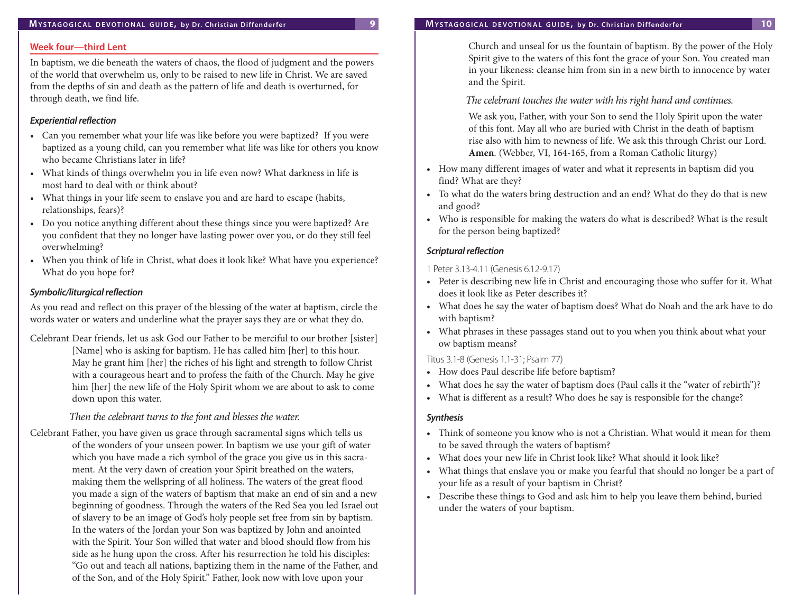## **Week four—third Lent**

In baptism, we die beneath the waters of chaos, the flood of judgment and the powers of the world that overwhelm us, only to be raised to new life in Christ. We are saved from the depths of sin and death as the pattern of life and death is overturned, for through death, we find life.

#### *Experiential reflection*

- Can you remember what your life was like before you were baptized? If you were baptized as a young child, can you remember what life was like for others you know who became Christians later in life?
- • What kinds of things overwhelm you in life even now? What darkness in life is most hard to deal with or think about?
- What things in your life seem to enslave you and are hard to escape (habits, relationships, fears)?
- • Do you notice anything different about these things since you were baptized? Are you confident that they no longer have lasting power over you, or do they still feel overwhelming?
- When you think of life in Christ, what does it look like? What have you experience? What do you hope for?

#### *Symbolic/liturgical reflection*

As you read and reflect on this prayer of the blessing of the water at baptism, circle the words water or waters and underline what the prayer says they are or what they do.

Celebrant Dear friends, let us ask God our Father to be merciful to our brother [sister] [Name] who is asking for baptism. He has called him [her] to this hour.

May he grant him [her] the riches of his light and strength to follow Christ with a courageous heart and to profess the faith of the Church. May he give him [her] the new life of the Holy Spirit whom we are about to ask to come down upon this water.

*Then the celebrant turns to the font and blesses the water.*

Celebrant Father, you have given us grace through sacramental signs which tells us of the wonders of your unseen power. In baptism we use your gift of water which you have made a rich symbol of the grace you give us in this sacrament. At the very dawn of creation your Spirit breathed on the waters, making them the wellspring of all holiness. The waters of the great flood you made a sign of the waters of baptism that make an end of sin and a new beginning of goodness. Through the waters of the Red Sea you led Israel out of slavery to be an image of God's holy people set free from sin by baptism. In the waters of the Jordan your Son was baptized by John and anointed with the Spirit. Your Son willed that water and blood should flow from his side as he hung upon the cross. After his resurrection he told his disciples: "Go out and teach all nations, baptizing them in the name of the Father, and of the Son, and of the Holy Spirit." Father, look now with love upon your

Church and unseal for us the fountain of baptism. By the power of the Holy Spirit give to the waters of this font the grace of your Son. You created man in your likeness: cleanse him from sin in a new birth to innocence by water and the Spirit.

*The celebrant touches the water with his right hand and continues.*

We ask you, Father, with your Son to send the Holy Spirit upon the water of this font. May all who are buried with Christ in the death of baptism rise also with him to newness of life. We ask this through Christ our Lord. **Amen**. (Webber, VI, 164-165, from a Roman Catholic liturgy)

- How many different images of water and what it represents in baptism did you find? What are they?
- To what do the waters bring destruction and an end? What do they do that is new and good?
- • Who is responsible for making the waters do what is described? What is the result for the person being baptized?

## *Scriptural reflection*

1 Peter 3.13-4.11 (Genesis 6.12-9.17)

- • Peter is describing new life in Christ and encouraging those who suffer for it. What does it look like as Peter describes it?
- • What does he say the water of baptism does? What do Noah and the ark have to do with baptism?
- What phrases in these passages stand out to you when you think about what your ow baptism means?

Titus 3.1-8 (Genesis 1.1-31; Psalm 77)

- • How does Paul describe life before baptism?
- What does he say the water of baptism does (Paul calls it the "water of rebirth")?
- What is different as a result? Who does he say is responsible for the change?

- Think of someone you know who is not a Christian. What would it mean for them to be saved through the waters of baptism?
- What does your new life in Christ look like? What should it look like?
- What things that enslave you or make you fearful that should no longer be a part of your life as a result of your baptism in Christ?
- Describe these things to God and ask him to help you leave them behind, buried under the waters of your baptism.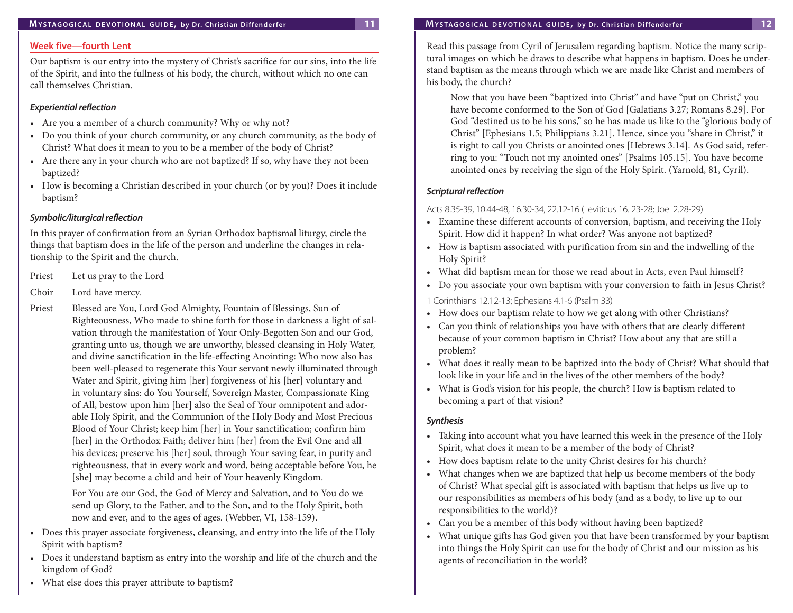# **Week five—fourth Lent**

Our baptism is our entry into the mystery of Christ's sacrifice for our sins, into the life of the Spirit, and into the fullness of his body, the church, without which no one can call themselves Christian.

# *Experiential reflection*

- • Are you a member of a church community? Why or why not?
- • Do you think of your church community, or any church community, as the body of Christ? What does it mean to you to be a member of the body of Christ?
- Are there any in your church who are not baptized? If so, why have they not been baptized?
- • How is becoming a Christian described in your church (or by you)? Does it include baptism?

# *Symbolic/liturgical reflection*

In this prayer of confirmation from an Syrian Orthodox baptismal liturgy, circle the things that baptism does in the life of the person and underline the changes in relationship to the Spirit and the church.

- Priest Let us pray to the Lord
- Choir Lord have mercy.
- Priest Blessed are You, Lord God Almighty, Fountain of Blessings, Sun of Righteousness, Who made to shine forth for those in darkness a light of salvation through the manifestation of Your Only-Begotten Son and our God, granting unto us, though we are unworthy, blessed cleansing in Holy Water, and divine sanctification in the life-effecting Anointing: Who now also has been well-pleased to regenerate this Your servant newly illuminated through Water and Spirit, giving him [her] forgiveness of his [her] voluntary and in voluntary sins: do You Yourself, Sovereign Master, Compassionate King of All, bestow upon him [her] also the Seal of Your omnipotent and adorable Holy Spirit, and the Communion of the Holy Body and Most Precious Blood of Your Christ; keep him [her] in Your sanctification; confirm him [her] in the Orthodox Faith; deliver him [her] from the Evil One and all his devices; preserve his [her] soul, through Your saving fear, in purity and righteousness, that in every work and word, being acceptable before You, he [she] may become a child and heir of Your heavenly Kingdom.

For You are our God, the God of Mercy and Salvation, and to You do we send up Glory, to the Father, and to the Son, and to the Holy Spirit, both now and ever, and to the ages of ages. (Webber, VI, 158-159).

- • Does this prayer associate forgiveness, cleansing, and entry into the life of the Holy Spirit with baptism?
- • Does it understand baptism as entry into the worship and life of the church and the kingdom of God?
- What else does this prayer attribute to baptism?

#### MYSTAGOGICAL DEVOTIONAL GUIDE, by Dr. Christian Diffenderfer 1999 11 MYSTAGOGICAL DEVOTIONAL GUIDE, by Dr. Christian Diffenderfer

Read this passage from Cyril of Jerusalem regarding baptism. Notice the many scriptural images on which he draws to describe what happens in baptism. Does he understand baptism as the means through which we are made like Christ and members of his body, the church?

Now that you have been "baptized into Christ" and have "put on Christ," you have become conformed to the Son of God [Galatians 3.27; Romans 8.29]. For God "destined us to be his sons," so he has made us like to the "glorious body of Christ" [Ephesians 1.5; Philippians 3.21]. Hence, since you "share in Christ," it is right to call you Christs or anointed ones [Hebrews 3.14]. As God said, referring to you: "Touch not my anointed ones" [Psalms 105.15]. You have become anointed ones by receiving the sign of the Holy Spirit. (Yarnold, 81, Cyril).

# *Scriptural reflection*

# Acts 8.35-39, 10.44-48, 16.30-34, 22.12-16 (Leviticus 16. 23-28; Joel 2.28-29)

- Examine these different accounts of conversion, baptism, and receiving the Holy Spirit. How did it happen? In what order? Was anyone not baptized?
- • How is baptism associated with purification from sin and the indwelling of the Holy Spirit?
- What did baptism mean for those we read about in Acts, even Paul himself?
- • Do you associate your own baptism with your conversion to faith in Jesus Christ?

1 Corinthians 12.12-13; Ephesians 4.1-6 (Psalm 33)

- How does our baptism relate to how we get along with other Christians?
- Can you think of relationships you have with others that are clearly different because of your common baptism in Christ? How about any that are still a problem?
- • What does it really mean to be baptized into the body of Christ? What should that look like in your life and in the lives of the other members of the body?
- What is God's vision for his people, the church? How is baptism related to becoming a part of that vision?

- • Taking into account what you have learned this week in the presence of the Holy Spirit, what does it mean to be a member of the body of Christ?
- How does baptism relate to the unity Christ desires for his church?
- What changes when we are baptized that help us become members of the body of Christ? What special gift is associated with baptism that helps us live up to our responsibilities as members of his body (and as a body, to live up to our responsibilities to the world)?
- Can you be a member of this body without having been baptized?
- What unique gifts has God given you that have been transformed by your baptism into things the Holy Spirit can use for the body of Christ and our mission as his agents of reconciliation in the world?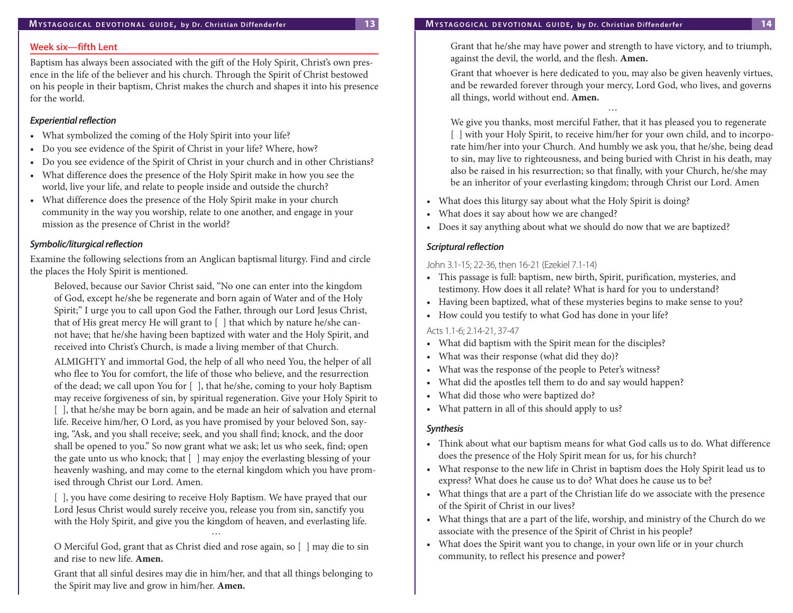## **Week six—fifth Lent**

Baptism has always been associated with the gift of the Holy Spirit, Christ's own presence in the life of the believer and his church. Through the Spirit of Christ bestowed on his people in their baptism, Christ makes the church and shapes it into his presence for the world.

#### *Experiential reflection*

- • What symbolized the coming of the Holy Spirit into your life?
- Do you see evidence of the Spirit of Christ in your life? Where, how?
- Do you see evidence of the Spirit of Christ in your church and in other Christians?
- • What difference does the presence of the Holy Spirit make in how you see the world, live your life, and relate to people inside and outside the church?
- What difference does the presence of the Holy Spirit make in your church community in the way you worship, relate to one another, and engage in your mission as the presence of Christ in the world?

#### *Symbolic/liturgical reflection*

Examine the following selections from an Anglican baptismal liturgy. Find and circle the places the Holy Spirit is mentioned.

Beloved, because our Savior Christ said, "No one can enter into the kingdom of God, except he/she be regenerate and born again of Water and of the Holy Spirit;" I urge you to call upon God the Father, through our Lord Jesus Christ, that of His great mercy He will grant to [ ] that which by nature he/she cannot have; that he/she having been baptized with water and the Holy Spirit, and received into Christ's Church, is made a living member of that Church.

ALMIGHTY and immortal God, the help of all who need You, the helper of all who flee to You for comfort, the life of those who believe, and the resurrection of the dead; we call upon You for [ ], that he/she, coming to your holy Baptism may receive forgiveness of sin, by spiritual regeneration. Give your Holy Spirit to [ ], that he/she may be born again, and be made an heir of salvation and eternal life. Receive him/her, O Lord, as you have promised by your beloved Son, saying, "Ask, and you shall receive; seek, and you shall find; knock, and the door shall be opened to you." So now grant what we ask; let us who seek, find; open the gate unto us who knock; that [ ] may enjoy the everlasting blessing of your heavenly washing, and may come to the eternal kingdom which you have promised through Christ our Lord. Amen.

[ ], you have come desiring to receive Holy Baptism. We have prayed that our Lord Jesus Christ would surely receive you, release you from sin, sanctify you with the Holy Spirit, and give you the kingdom of heaven, and everlasting life. …

O Merciful God, grant that as Christ died and rose again, so [ ] may die to sin and rise to new life. **Amen.** 

Grant that all sinful desires may die in him/her, and that all things belonging to the Spirit may live and grow in him/her. **Amen.** 

Grant that whoever is here dedicated to you, may also be given heavenly virtues, and be rewarded forever through your mercy, Lord God, who lives, and governs all things, world without end. **Amen.** 

…

We give you thanks, most merciful Father, that it has pleased you to regenerate [  $\vert$  ] with your Holy Spirit, to receive him/her for your own child, and to incorporate him/her into your Church. And humbly we ask you, that he/she, being dead to sin, may live to righteousness, and being buried with Christ in his death, may also be raised in his resurrection; so that finally, with your Church, he/she may be an inheritor of your everlasting kingdom; through Christ our Lord. Amen

- • What does this liturgy say about what the Holy Spirit is doing?
- • What does it say about how we are changed?
- Does it say anything about what we should do now that we are baptized?

#### *Scriptural reflection*

John 3.1-15; 22-36, then 16-21 (Ezekiel 7.1-14)

- • This passage is full: baptism, new birth, Spirit, purification, mysteries, and testimony. How does it all relate? What is hard for you to understand?
- Having been baptized, what of these mysteries begins to make sense to you?
- How could you testify to what God has done in your life?

#### Acts 1.1-6; 2.14-21, 37-47

- What did baptism with the Spirit mean for the disciples?
- • What was their response (what did they do)?
- • What was the response of the people to Peter's witness?
- What did the apostles tell them to do and say would happen?
- • What did those who were baptized do?
- What pattern in all of this should apply to us?

- • Think about what our baptism means for what God calls us to do. What difference does the presence of the Holy Spirit mean for us, for his church?
- • What response to the new life in Christ in baptism does the Holy Spirit lead us to express? What does he cause us to do? What does he cause us to be?
- • What things that are a part of the Christian life do we associate with the presence of the Spirit of Christ in our lives?
- • What things that are a part of the life, worship, and ministry of the Church do we associate with the presence of the Spirit of Christ in his people?
- • What does the Spirit want you to change, in your own life or in your church community, to reflect his presence and power?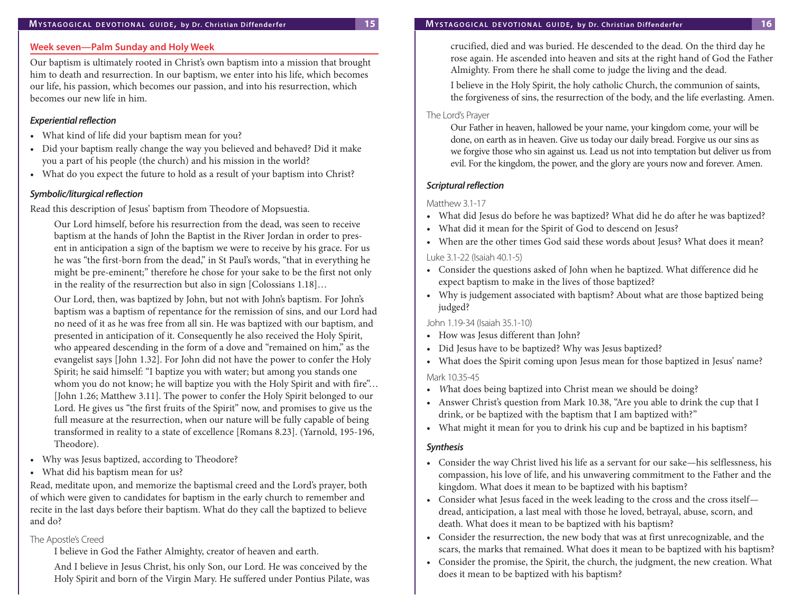# **Week seven—Palm Sunday and Holy Week**

Our baptism is ultimately rooted in Christ's own baptism into a mission that brought him to death and resurrection. In our baptism, we enter into his life, which becomes our life, his passion, which becomes our passion, and into his resurrection, which becomes our new life in him.

## *Experiential reflection*

- • What kind of life did your baptism mean for you?
- • Did your baptism really change the way you believed and behaved? Did it make you a part of his people (the church) and his mission in the world?
- What do you expect the future to hold as a result of your baptism into Christ?

# *Symbolic/liturgical reflection*

Read this description of Jesus' baptism from Theodore of Mopsuestia.

Our Lord himself, before his resurrection from the dead, was seen to receive baptism at the hands of John the Baptist in the River Jordan in order to present in anticipation a sign of the baptism we were to receive by his grace. For us he was "the first-born from the dead," in St Paul's words, "that in everything he might be pre-eminent;" therefore he chose for your sake to be the first not only in the reality of the resurrection but also in sign [Colossians 1.18]…

Our Lord, then, was baptized by John, but not with John's baptism. For John's baptism was a baptism of repentance for the remission of sins, and our Lord had no need of it as he was free from all sin. He was baptized with our baptism, and presented in anticipation of it. Consequently he also received the Holy Spirit, who appeared descending in the form of a dove and "remained on him," as the evangelist says [John 1.32]. For John did not have the power to confer the Holy Spirit; he said himself: "I baptize you with water; but among you stands one whom you do not know; he will baptize you with the Holy Spirit and with fire"… [John 1.26; Matthew 3.11]. The power to confer the Holy Spirit belonged to our Lord. He gives us "the first fruits of the Spirit" now, and promises to give us the full measure at the resurrection, when our nature will be fully capable of being transformed in reality to a state of excellence [Romans 8.23]. (Yarnold, 195-196, Theodore).

- • Why was Jesus baptized, according to Theodore?
- • What did his baptism mean for us?

Read, meditate upon, and memorize the baptismal creed and the Lord's prayer, both of which were given to candidates for baptism in the early church to remember and recite in the last days before their baptism. What do they call the baptized to believe and do?

## The Apostle's Creed

I believe in God the Father Almighty, creator of heaven and earth.

And I believe in Jesus Christ, his only Son, our Lord. He was conceived by the Holy Spirit and born of the Virgin Mary. He suffered under Pontius Pilate, was

crucified, died and was buried. He descended to the dead. On the third day he rose again. He ascended into heaven and sits at the right hand of God the Father Almighty. From there he shall come to judge the living and the dead.

I believe in the Holy Spirit, the holy catholic Church, the communion of saints, the forgiveness of sins, the resurrection of the body, and the life everlasting. Amen.

# The Lord's Prayer

Our Father in heaven, hallowed be your name, your kingdom come, your will be done, on earth as in heaven. Give us today our daily bread. Forgive us our sins as we forgive those who sin against us. Lead us not into temptation but deliver us from evil. For the kingdom, the power, and the glory are yours now and forever. Amen.

# *Scriptural reflection*

# Matthew 3.1-17

- • What did Jesus do before he was baptized? What did he do after he was baptized?
- What did it mean for the Spirit of God to descend on Jesus?
- When are the other times God said these words about Jesus? What does it mean?

# Luke 3.1-22 (Isaiah 40.1-5)

- • Consider the questions asked of John when he baptized. What difference did he expect baptism to make in the lives of those baptized?
- Why is judgement associated with baptism? About what are those baptized being judged?

John 1.19-34 (Isaiah 35.1-10)

- How was Jesus different than John?
- Did Jesus have to be baptized? Why was Jesus baptized?
- What does the Spirit coming upon Jesus mean for those baptized in Jesus' name? Mark 10.35-45
- What does being baptized into Christ mean we should be doing?
- Answer Christ's question from Mark 10.38, "Are you able to drink the cup that I drink, or be baptized with the baptism that I am baptized with?"
- What might it mean for you to drink his cup and be baptized in his baptism?

- • Consider the way Christ lived his life as a servant for our sake—his selflessness, his compassion, his love of life, and his unwavering commitment to the Father and the kingdom. What does it mean to be baptized with his baptism?
- Consider what Jesus faced in the week leading to the cross and the cross itselfdread, anticipation, a last meal with those he loved, betrayal, abuse, scorn, and death. What does it mean to be baptized with his baptism?
- • Consider the resurrection, the new body that was at first unrecognizable, and the scars, the marks that remained. What does it mean to be baptized with his baptism?
- • Consider the promise, the Spirit, the church, the judgment, the new creation. What does it mean to be baptized with his baptism?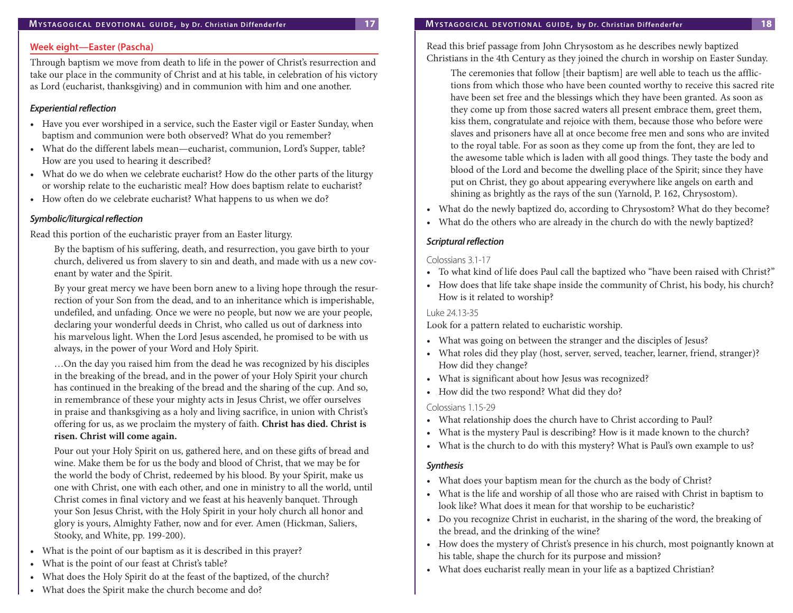## **Week eight—Easter (Pascha)**

Through baptism we move from death to life in the power of Christ's resurrection and take our place in the community of Christ and at his table, in celebration of his victory as Lord (eucharist, thanksgiving) and in communion with him and one another.

# *Experiential reflection*

- Have you ever worshiped in a service, such the Easter vigil or Easter Sunday, when baptism and communion were both observed? What do you remember?
- What do the different labels mean—eucharist, communion, Lord's Supper, table? How are you used to hearing it described?
- What do we do when we celebrate eucharist? How do the other parts of the liturgy or worship relate to the eucharistic meal? How does baptism relate to eucharist?
- How often do we celebrate eucharist? What happens to us when we do?

# *Symbolic/liturgical reflection*

Read this portion of the eucharistic prayer from an Easter liturgy.

By the baptism of his suffering, death, and resurrection, you gave birth to your church, delivered us from slavery to sin and death, and made with us a new covenant by water and the Spirit.

By your great mercy we have been born anew to a living hope through the resurrection of your Son from the dead, and to an inheritance which is imperishable, undefiled, and unfading. Once we were no people, but now we are your people, declaring your wonderful deeds in Christ, who called us out of darkness into his marvelous light. When the Lord Jesus ascended, he promised to be with us always, in the power of your Word and Holy Spirit.

…On the day you raised him from the dead he was recognized by his disciples in the breaking of the bread, and in the power of your Holy Spirit your church has continued in the breaking of the bread and the sharing of the cup. And so, in remembrance of these your mighty acts in Jesus Christ, we offer ourselves in praise and thanksgiving as a holy and living sacrifice, in union with Christ's offering for us, as we proclaim the mystery of faith. **Christ has died. Christ is risen. Christ will come again.**

Pour out your Holy Spirit on us, gathered here, and on these gifts of bread and wine. Make them be for us the body and blood of Christ, that we may be for the world the body of Christ, redeemed by his blood. By your Spirit, make us one with Christ, one with each other, and one in ministry to all the world, until Christ comes in final victory and we feast at his heavenly banquet. Through your Son Jesus Christ, with the Holy Spirit in your holy church all honor and glory is yours, Almighty Father, now and for ever. Amen (Hickman, Saliers, Stooky, and White, pp. 199-200).

- What is the point of our baptism as it is described in this prayer?
- What is the point of our feast at Christ's table?
- What does the Holy Spirit do at the feast of the baptized, of the church?
- What does the Spirit make the church become and do?

#### MYSTAGOGICAL DEVOTIONAL GUIDE, by Dr. Christian Diffenderfer 1999 17 MYSTAGOGICAL DEVOTIONAL GUIDE, by Dr. Christian Diffenderfer

Read this brief passage from John Chrysostom as he describes newly baptized Christians in the 4th Century as they joined the church in worship on Easter Sunday.

The ceremonies that follow [their baptism] are well able to teach us the afflictions from which those who have been counted worthy to receive this sacred rite have been set free and the blessings which they have been granted. As soon as they come up from those sacred waters all present embrace them, greet them, kiss them, congratulate and rejoice with them, because those who before were slaves and prisoners have all at once become free men and sons who are invited to the royal table. For as soon as they come up from the font, they are led to the awesome table which is laden with all good things. They taste the body and blood of the Lord and become the dwelling place of the Spirit; since they have put on Christ, they go about appearing everywhere like angels on earth and shining as brightly as the rays of the sun (Yarnold, P. 162, Chrysostom).

- What do the newly baptized do, according to Chrysostom? What do they become?
- What do the others who are already in the church do with the newly baptized?

# *Scriptural reflection*

## Colossians 3.1-17

- • To what kind of life does Paul call the baptized who "have been raised with Christ?"
- How does that life take shape inside the community of Christ, his body, his church? How is it related to worship?

## Luke 24.13-35

Look for a pattern related to eucharistic worship.

- What was going on between the stranger and the disciples of Jesus?
- What roles did they play (host, server, served, teacher, learner, friend, stranger)? How did they change?
- • What is significant about how Jesus was recognized?
- How did the two respond? What did they do?

# Colossians 1.15-29

- What relationship does the church have to Christ according to Paul?
- What is the mystery Paul is describing? How is it made known to the church?
- What is the church to do with this mystery? What is Paul's own example to us?

- What does your baptism mean for the church as the body of Christ?
- • What is the life and worship of all those who are raised with Christ in baptism to look like? What does it mean for that worship to be eucharistic?
- • Do you recognize Christ in eucharist, in the sharing of the word, the breaking of the bread, and the drinking of the wine?
- How does the mystery of Christ's presence in his church, most poignantly known at his table, shape the church for its purpose and mission?
- • What does eucharist really mean in your life as a baptized Christian?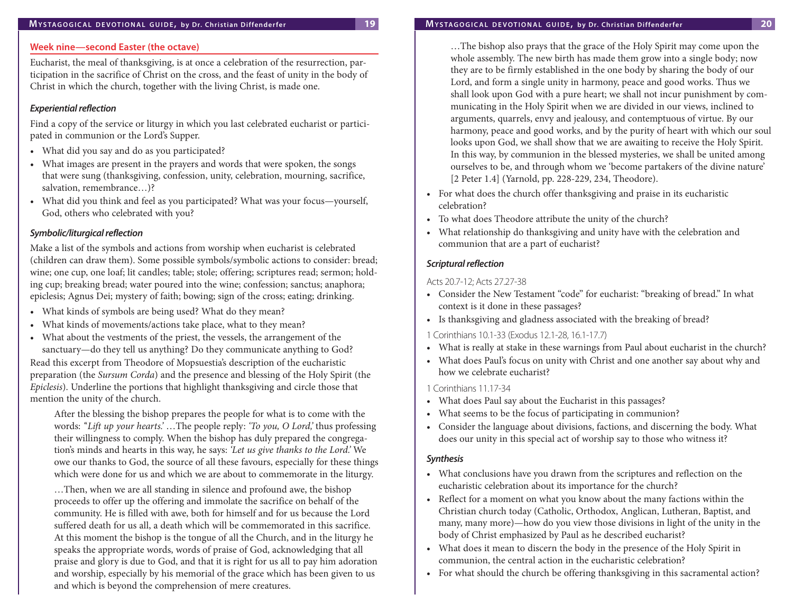# **Week nine—second Easter (the octave)**

Eucharist, the meal of thanksgiving, is at once a celebration of the resurrection, participation in the sacrifice of Christ on the cross, and the feast of unity in the body of Christ in which the church, together with the living Christ, is made one.

# *Experiential reflection*

Find a copy of the service or liturgy in which you last celebrated eucharist or participated in communion or the Lord's Supper.

- • What did you say and do as you participated?
- • What images are present in the prayers and words that were spoken, the songs that were sung (thanksgiving, confession, unity, celebration, mourning, sacrifice, salvation, remembrance…)?
- What did you think and feel as you participated? What was your focus—yourself, God, others who celebrated with you?

# *Symbolic/liturgical reflection*

Make a list of the symbols and actions from worship when eucharist is celebrated (children can draw them). Some possible symbols/symbolic actions to consider: bread; wine; one cup, one loaf; lit candles; table; stole; offering; scriptures read; sermon; holding cup; breaking bread; water poured into the wine; confession; sanctus; anaphora; epiclesis; Agnus Dei; mystery of faith; bowing; sign of the cross; eating; drinking.

- What kinds of symbols are being used? What do they mean?
- What kinds of movements/actions take place, what to they mean?
- • What about the vestments of the priest, the vessels, the arrangement of the sanctuary—do they tell us anything? Do they communicate anything to God?

Read this excerpt from Theodore of Mopsuestia's description of the eucharistic preparation (the *Sursum Corda*) and the presence and blessing of the Holy Spirit (the *Epiclesis*). Underline the portions that highlight thanksgiving and circle those that mention the unity of the church.

After the blessing the bishop prepares the people for what is to come with the words: *'*'*Lift up your hearts.'* …The people reply: *'To you, O Lord,'* thus professing their willingness to comply. When the bishop has duly prepared the congregation's minds and hearts in this way, he says: *'Let us give thanks to the Lord.'* We owe our thanks to God, the source of all these favours, especially for these things which were done for us and which we are about to commemorate in the liturgy.

…Then, when we are all standing in silence and profound awe, the bishop proceeds to offer up the offering and immolate the sacrifice on behalf of the community. He is filled with awe, both for himself and for us because the Lord suffered death for us all, a death which will be commemorated in this sacrifice. At this moment the bishop is the tongue of all the Church, and in the liturgy he speaks the appropriate words, words of praise of God, acknowledging that all praise and glory is due to God, and that it is right for us all to pay him adoration and worship, especially by his memorial of the grace which has been given to us and which is beyond the comprehension of mere creatures.

…The bishop also prays that the grace of the Holy Spirit may come upon the whole assembly. The new birth has made them grow into a single body; now they are to be firmly established in the one body by sharing the body of our Lord, and form a single unity in harmony, peace and good works. Thus we shall look upon God with a pure heart; we shall not incur punishment by communicating in the Holy Spirit when we are divided in our views, inclined to arguments, quarrels, envy and jealousy, and contemptuous of virtue. By our harmony, peace and good works, and by the purity of heart with which our soul looks upon God, we shall show that we are awaiting to receive the Holy Spirit. In this way, by communion in the blessed mysteries, we shall be united among ourselves to be, and through whom we 'become partakers of the divine nature' [2 Peter 1.4] (Yarnold, pp. 228-229, 234, Theodore).

- • For what does the church offer thanksgiving and praise in its eucharistic celebration?
- • To what does Theodore attribute the unity of the church?
- What relationship do thanksgiving and unity have with the celebration and communion that are a part of eucharist?

# *Scriptural reflection*

# Acts 20.7-12; Acts 27.27-38

- • Consider the New Testament "code" for eucharist: "breaking of bread." In what context is it done in these passages?
- Is thanksgiving and gladness associated with the breaking of bread?

# 1 Corinthians 10.1-33 (Exodus 12.1-28, 16.1-17.7)

- • What is really at stake in these warnings from Paul about eucharist in the church?
- • What does Paul's focus on unity with Christ and one another say about why and how we celebrate eucharist?

## 1 Corinthians 11.17-34

- • What does Paul say about the Eucharist in this passages?
- What seems to be the focus of participating in communion?
- • Consider the language about divisions, factions, and discerning the body. What does our unity in this special act of worship say to those who witness it?

- What conclusions have you drawn from the scriptures and reflection on the eucharistic celebration about its importance for the church?
- Reflect for a moment on what you know about the many factions within the Christian church today (Catholic, Orthodox, Anglican, Lutheran, Baptist, and many, many more)—how do you view those divisions in light of the unity in the body of Christ emphasized by Paul as he described eucharist?
- • What does it mean to discern the body in the presence of the Holy Spirit in communion, the central action in the eucharistic celebration?
- For what should the church be offering thanksgiving in this sacramental action?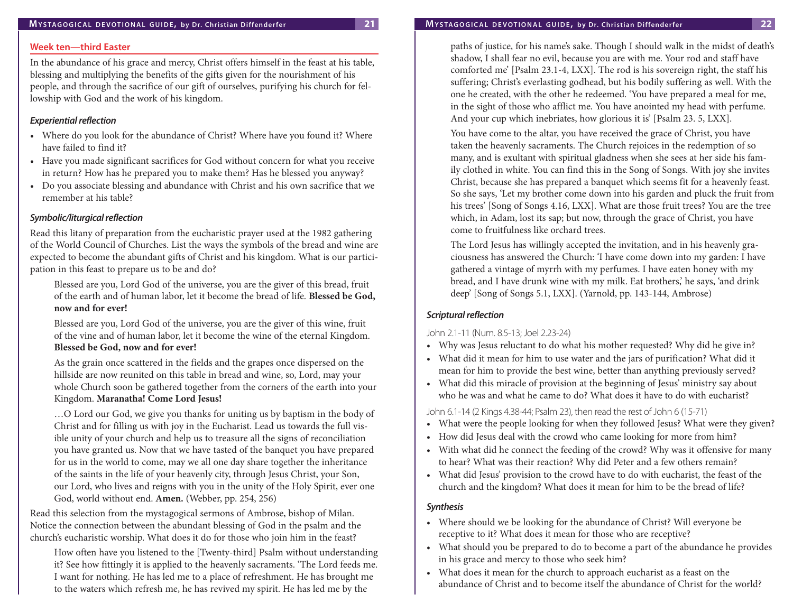## **Week ten—third Easter**

In the abundance of his grace and mercy, Christ offers himself in the feast at his table, blessing and multiplying the benefits of the gifts given for the nourishment of his people, and through the sacrifice of our gift of ourselves, purifying his church for fellowship with God and the work of his kingdom.

#### *Experiential reflection*

- Where do you look for the abundance of Christ? Where have you found it? Where have failed to find it?
- Have you made significant sacrifices for God without concern for what you receive in return? How has he prepared you to make them? Has he blessed you anyway?
- • Do you associate blessing and abundance with Christ and his own sacrifice that we remember at his table?

#### *Symbolic/liturgical reflection*

Read this litany of preparation from the eucharistic prayer used at the 1982 gathering of the World Council of Churches. List the ways the symbols of the bread and wine are expected to become the abundant gifts of Christ and his kingdom. What is our participation in this feast to prepare us to be and do?

Blessed are you, Lord God of the universe, you are the giver of this bread, fruit of the earth and of human labor, let it become the bread of life. **Blessed be God, now and for ever!**

Blessed are you, Lord God of the universe, you are the giver of this wine, fruit of the vine and of human labor, let it become the wine of the eternal Kingdom. **Blessed be God, now and for ever!**

As the grain once scattered in the fields and the grapes once dispersed on the hillside are now reunited on this table in bread and wine, so, Lord, may your whole Church soon be gathered together from the corners of the earth into your Kingdom. **Maranatha! Come Lord Jesus!**

…O Lord our God, we give you thanks for uniting us by baptism in the body of Christ and for filling us with joy in the Eucharist. Lead us towards the full visible unity of your church and help us to treasure all the signs of reconciliation you have granted us. Now that we have tasted of the banquet you have prepared for us in the world to come, may we all one day share together the inheritance of the saints in the life of your heavenly city, through Jesus Christ, your Son, our Lord, who lives and reigns with you in the unity of the Holy Spirit, ever one God, world without end. **Amen.** (Webber, pp. 254, 256)

Read this selection from the mystagogical sermons of Ambrose, bishop of Milan. Notice the connection between the abundant blessing of God in the psalm and the church's eucharistic worship. What does it do for those who join him in the feast?

How often have you listened to the [Twenty-third] Psalm without understanding it? See how fittingly it is applied to the heavenly sacraments. 'The Lord feeds me. I want for nothing. He has led me to a place of refreshment. He has brought me to the waters which refresh me, he has revived my spirit. He has led me by the

paths of justice, for his name's sake. Though I should walk in the midst of death's shadow, I shall fear no evil, because you are with me. Your rod and staff have comforted me' [Psalm 23.1-4, LXX]. The rod is his sovereign right, the staff his suffering; Christ's everlasting godhead, but his bodily suffering as well. With the one he created, with the other he redeemed. 'You have prepared a meal for me, in the sight of those who afflict me. You have anointed my head with perfume. And your cup which inebriates, how glorious it is' [Psalm 23. 5, LXX].

You have come to the altar, you have received the grace of Christ, you have taken the heavenly sacraments. The Church rejoices in the redemption of so many, and is exultant with spiritual gladness when she sees at her side his family clothed in white. You can find this in the Song of Songs. With joy she invites Christ, because she has prepared a banquet which seems fit for a heavenly feast. So she says, 'Let my brother come down into his garden and pluck the fruit from his trees' [Song of Songs 4.16, LXX]. What are those fruit trees? You are the tree which, in Adam, lost its sap; but now, through the grace of Christ, you have come to fruitfulness like orchard trees.

The Lord Jesus has willingly accepted the invitation, and in his heavenly graciousness has answered the Church: 'I have come down into my garden: I have gathered a vintage of myrrh with my perfumes. I have eaten honey with my bread, and I have drunk wine with my milk. Eat brothers,' he says, 'and drink deep' [Song of Songs 5.1, LXX]. (Yarnold, pp. 143-144, Ambrose)

#### *Scriptural reflection*

## John 2.1-11 (Num. 8.5-13; Joel 2.23-24)

- Why was Jesus reluctant to do what his mother requested? Why did he give in?
- • What did it mean for him to use water and the jars of purification? What did it mean for him to provide the best wine, better than anything previously served?
- What did this miracle of provision at the beginning of Jesus' ministry say about who he was and what he came to do? What does it have to do with eucharist?

John 6.1-14 (2 Kings 4.38-44; Psalm 23), then read the rest of John 6 (15-71)

- What were the people looking for when they followed Jesus? What were they given?
- How did Jesus deal with the crowd who came looking for more from him?
- With what did he connect the feeding of the crowd? Why was it offensive for many to hear? What was their reaction? Why did Peter and a few others remain?
- • What did Jesus' provision to the crowd have to do with eucharist, the feast of the church and the kingdom? What does it mean for him to be the bread of life?

- Where should we be looking for the abundance of Christ? Will everyone be receptive to it? What does it mean for those who are receptive?
- What should you be prepared to do to become a part of the abundance he provides in his grace and mercy to those who seek him?
- • What does it mean for the church to approach eucharist as a feast on the abundance of Christ and to become itself the abundance of Christ for the world?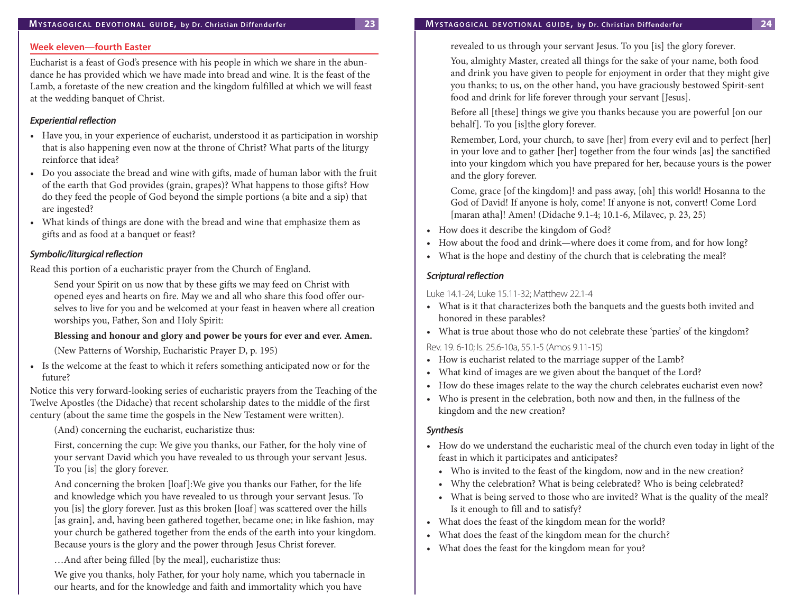# **Week eleven—fourth Easter**

Eucharist is a feast of God's presence with his people in which we share in the abundance he has provided which we have made into bread and wine. It is the feast of the Lamb, a foretaste of the new creation and the kingdom fulfilled at which we will feast at the wedding banquet of Christ.

### *Experiential reflection*

- • Have you, in your experience of eucharist, understood it as participation in worship that is also happening even now at the throne of Christ? What parts of the liturgy reinforce that idea?
- Do you associate the bread and wine with gifts, made of human labor with the fruit of the earth that God provides (grain, grapes)? What happens to those gifts? How do they feed the people of God beyond the simple portions (a bite and a sip) that are ingested?
- What kinds of things are done with the bread and wine that emphasize them as gifts and as food at a banquet or feast?

## *Symbolic/liturgical reflection*

Read this portion of a eucharistic prayer from the Church of England.

Send your Spirit on us now that by these gifts we may feed on Christ with opened eyes and hearts on fire. May we and all who share this food offer ourselves to live for you and be welcomed at your feast in heaven where all creation worships you, Father, Son and Holy Spirit:

## **Blessing and honour and glory and power be yours for ever and ever. Amen.**

(New Patterns of Worship, Eucharistic Prayer D, p. 195)

• Is the welcome at the feast to which it refers something anticipated now or for the future?

Notice this very forward-looking series of eucharistic prayers from the Teaching of the Twelve Apostles (the Didache) that recent scholarship dates to the middle of the first century (about the same time the gospels in the New Testament were written).

(And) concerning the eucharist, eucharistize thus:

First, concerning the cup: We give you thanks, our Father, for the holy vine of your servant David which you have revealed to us through your servant Jesus. To you [is] the glory forever.

And concerning the broken [loaf]:We give you thanks our Father, for the life and knowledge which you have revealed to us through your servant Jesus. To you [is] the glory forever. Just as this broken [loaf] was scattered over the hills [as grain], and, having been gathered together, became one; in like fashion, may your church be gathered together from the ends of the earth into your kingdom. Because yours is the glory and the power through Jesus Christ forever.

…And after being filled [by the meal], eucharistize thus:

We give you thanks, holy Father, for your holy name, which you tabernacle in our hearts, and for the knowledge and faith and immortality which you have

revealed to us through your servant Jesus. To you [is] the glory forever.

You, almighty Master, created all things for the sake of your name, both food and drink you have given to people for enjoyment in order that they might give you thanks; to us, on the other hand, you have graciously bestowed Spirit-sent food and drink for life forever through your servant [Jesus].

Before all [these] things we give you thanks because you are powerful [on our behalf]. To you [is]the glory forever.

Remember, Lord, your church, to save [her] from every evil and to perfect [her] in your love and to gather [her] together from the four winds [as] the sanctified into your kingdom which you have prepared for her, because yours is the power and the glory forever.

Come, grace [of the kingdom]! and pass away, [oh] this world! Hosanna to the God of David! If anyone is holy, come! If anyone is not, convert! Come Lord [maran atha]! Amen! (Didache 9.1-4; 10.1-6, Milavec, p. 23, 25)

- How does it describe the kingdom of God?
- How about the food and drink—where does it come from, and for how long?
- What is the hope and destiny of the church that is celebrating the meal?

## *Scriptural reflection*

Luke 14.1-24; Luke 15.11-32; Matthew 22.1-4

- • What is it that characterizes both the banquets and the guests both invited and honored in these parables?
- What is true about those who do not celebrate these 'parties' of the kingdom?

Rev. 19. 6-10; Is. 25.6-10a, 55.1-5 (Amos 9.11-15)

- • How is eucharist related to the marriage supper of the Lamb?
- What kind of images are we given about the banquet of the Lord?
- How do these images relate to the way the church celebrates eucharist even now?
- • Who is present in the celebration, both now and then, in the fullness of the kingdom and the new creation?

- How do we understand the eucharistic meal of the church even today in light of the feast in which it participates and anticipates?
	- Who is invited to the feast of the kingdom, now and in the new creation?
	- Why the celebration? What is being celebrated? Who is being celebrated?
	- What is being served to those who are invited? What is the quality of the meal? Is it enough to fill and to satisfy?
- What does the feast of the kingdom mean for the world?
- What does the feast of the kingdom mean for the church?
- • What does the feast for the kingdom mean for you?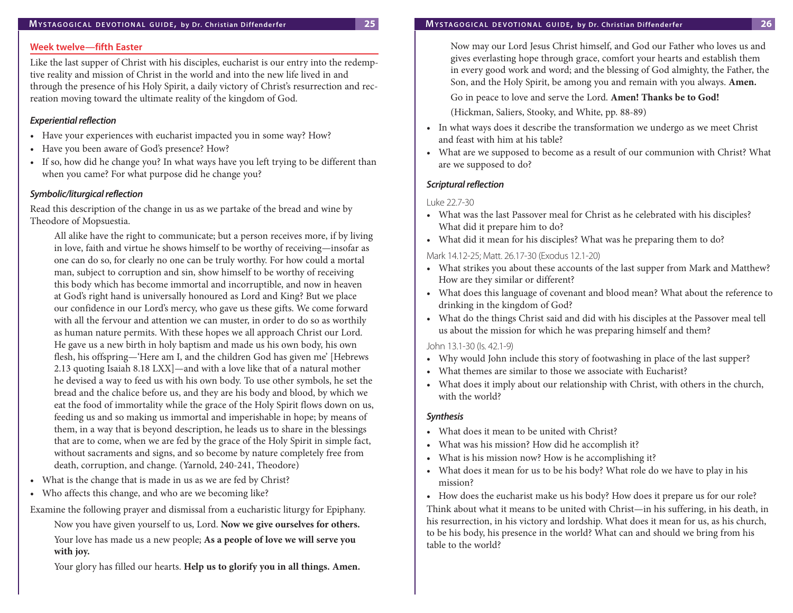## **Week twelve—fifth Easter**

Like the last supper of Christ with his disciples, eucharist is our entry into the redemptive reality and mission of Christ in the world and into the new life lived in and through the presence of his Holy Spirit, a daily victory of Christ's resurrection and recreation moving toward the ultimate reality of the kingdom of God.

## *Experiential reflection*

- Have your experiences with eucharist impacted you in some way? How?
- Have you been aware of God's presence? How?
- If so, how did he change you? In what ways have you left trying to be different than when you came? For what purpose did he change you?

## *Symbolic/liturgical reflection*

Read this description of the change in us as we partake of the bread and wine by Theodore of Mopsuestia.

All alike have the right to communicate; but a person receives more, if by living in love, faith and virtue he shows himself to be worthy of receiving—insofar as one can do so, for clearly no one can be truly worthy. For how could a mortal man, subject to corruption and sin, show himself to be worthy of receiving this body which has become immortal and incorruptible, and now in heaven at God's right hand is universally honoured as Lord and King? But we place our confidence in our Lord's mercy, who gave us these gifts. We come forward with all the fervour and attention we can muster, in order to do so as worthily as human nature permits. With these hopes we all approach Christ our Lord. He gave us a new birth in holy baptism and made us his own body, his own flesh, his offspring—'Here am I, and the children God has given me' [Hebrews 2.13 quoting Isaiah 8.18 LXX]—and with a love like that of a natural mother he devised a way to feed us with his own body. To use other symbols, he set the bread and the chalice before us, and they are his body and blood, by which we eat the food of immortality while the grace of the Holy Spirit flows down on us, feeding us and so making us immortal and imperishable in hope; by means of them, in a way that is beyond description, he leads us to share in the blessings that are to come, when we are fed by the grace of the Holy Spirit in simple fact, without sacraments and signs, and so become by nature completely free from death, corruption, and change. (Yarnold, 240-241, Theodore)

- What is the change that is made in us as we are fed by Christ?
- Who affects this change, and who are we becoming like?

Examine the following prayer and dismissal from a eucharistic liturgy for Epiphany.

Now you have given yourself to us, Lord. **Now we give ourselves for others.** Your love has made us a new people; **As a people of love we will serve you with joy.**

Your glory has filled our hearts. **Help us to glorify you in all things. Amen.**

Now may our Lord Jesus Christ himself, and God our Father who loves us and gives everlasting hope through grace, comfort your hearts and establish them in every good work and word; and the blessing of God almighty, the Father, the Son, and the Holy Spirit, be among you and remain with you always. **Amen.**

Go in peace to love and serve the Lord. **Amen! Thanks be to God!**

(Hickman, Saliers, Stooky, and White, pp. 88-89)

- In what ways does it describe the transformation we undergo as we meet Christ and feast with him at his table?
- • What are we supposed to become as a result of our communion with Christ? What are we supposed to do?

### *Scriptural reflection*

## Luke 22.7-30

- What was the last Passover meal for Christ as he celebrated with his disciples? What did it prepare him to do?
- What did it mean for his disciples? What was he preparing them to do?

## Mark 14.12-25; Matt. 26.17-30 (Exodus 12.1-20)

- What strikes you about these accounts of the last supper from Mark and Matthew? How are they similar or different?
- • What does this language of covenant and blood mean? What about the reference to drinking in the kingdom of God?
- • What do the things Christ said and did with his disciples at the Passover meal tell us about the mission for which he was preparing himself and them?

#### John 13.1-30 (Is. 42.1-9)

- • Why would John include this story of footwashing in place of the last supper?
- What themes are similar to those we associate with Eucharist?
- What does it imply about our relationship with Christ, with others in the church, with the world?

## *Synthesis*

- • What does it mean to be united with Christ?
- • What was his mission? How did he accomplish it?
- What is his mission now? How is he accomplishing it?
- What does it mean for us to be his body? What role do we have to play in his mission?

• How does the eucharist make us his body? How does it prepare us for our role? Think about what it means to be united with Christ—in his suffering, in his death, in his resurrection, in his victory and lordship. What does it mean for us, as his church, to be his body, his presence in the world? What can and should we bring from his table to the world?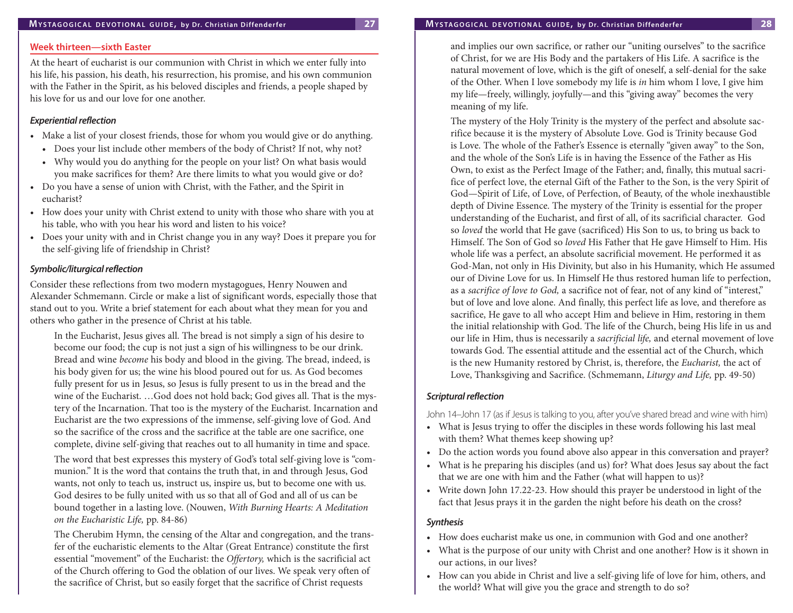## **Week thirteen—sixth Easter**

At the heart of eucharist is our communion with Christ in which we enter fully into his life, his passion, his death, his resurrection, his promise, and his own communion with the Father in the Spirit, as his beloved disciples and friends, a people shaped by his love for us and our love for one another.

#### *Experiential reflection*

- Make a list of your closest friends, those for whom you would give or do anything.
	- Does your list include other members of the body of Christ? If not, why not?
	- Why would you do anything for the people on your list? On what basis would you make sacrifices for them? Are there limits to what you would give or do?
- Do you have a sense of union with Christ, with the Father, and the Spirit in eucharist?
- • How does your unity with Christ extend to unity with those who share with you at his table, who with you hear his word and listen to his voice?
- Does your unity with and in Christ change you in any way? Does it prepare you for the self-giving life of friendship in Christ?

#### *Symbolic/liturgical reflection*

Consider these reflections from two modern mystagogues, Henry Nouwen and Alexander Schmemann. Circle or make a list of significant words, especially those that stand out to you. Write a brief statement for each about what they mean for you and others who gather in the presence of Christ at his table.

In the Eucharist, Jesus gives all. The bread is not simply a sign of his desire to become our food; the cup is not just a sign of his willingness to be our drink. Bread and wine *become* his body and blood in the giving. The bread, indeed, is his body given for us; the wine his blood poured out for us. As God becomes fully present for us in Jesus, so Jesus is fully present to us in the bread and the wine of the Eucharist. …God does not hold back; God gives all. That is the mystery of the Incarnation. That too is the mystery of the Eucharist. Incarnation and Eucharist are the two expressions of the immense, self-giving love of God. And so the sacrifice of the cross and the sacrifice at the table are one sacrifice, one complete, divine self-giving that reaches out to all humanity in time and space.

The word that best expresses this mystery of God's total self-giving love is "communion." It is the word that contains the truth that, in and through Jesus, God wants, not only to teach us, instruct us, inspire us, but to become one with us. God desires to be fully united with us so that all of God and all of us can be bound together in a lasting love. (Nouwen, *With Burning Hearts: A Meditation on the Eucharistic Life,* pp. 84-86)

The Cherubim Hymn, the censing of the Altar and congregation, and the transfer of the eucharistic elements to the Altar (Great Entrance) constitute the first essential "movement" of the Eucharist: the *Offertory,* which is the sacrificial act of the Church offering to God the oblation of our lives. We speak very often of the sacrifice of Christ, but so easily forget that the sacrifice of Christ requests

and implies our own sacrifice, or rather our "uniting ourselves" to the sacrifice of Christ, for we are His Body and the partakers of His Life. A sacrifice is the natural movement of love, which is the gift of oneself, a self-denial for the sake of the Other. When I love somebody my life is *in* him whom I love, I give him my life—freely, willingly, joyfully—and this "giving away" becomes the very meaning of my life.

The mystery of the Holy Trinity is the mystery of the perfect and absolute sacrifice because it is the mystery of Absolute Love. God is Trinity because God is Love. The whole of the Father's Essence is eternally "given away" to the Son, and the whole of the Son's Life is in having the Essence of the Father as His Own, to exist as the Perfect Image of the Father; and, finally, this mutual sacrifice of perfect love, the eternal Gift of the Father to the Son, is the very Spirit of God—Spirit of Life, of Love, of Perfection, of Beauty, of the whole inexhaustible depth of Divine Essence. The mystery of the Trinity is essential for the proper understanding of the Eucharist, and first of all, of its sacrificial character. God so *loved* the world that He gave (sacrificed) His Son to us, to bring us back to Himself. The Son of God so *loved* His Father that He gave Himself to Him. His whole life was a perfect, an absolute sacrificial movement. He performed it as God-Man, not only in His Divinity, but also in his Humanity, which He assumed our of Divine Love for us. In Himself He thus restored human life to perfection, as a *sacrifice of love to God,* a sacrifice not of fear, not of any kind of "interest," but of love and love alone. And finally, this perfect life as love, and therefore as sacrifice, He gave to all who accept Him and believe in Him, restoring in them the initial relationship with God. The life of the Church, being His life in us and our life in Him, thus is necessarily a *sacrificial life,* and eternal movement of love towards God. The essential attitude and the essential act of the Church, which is the new Humanity restored by Christ, is, therefore, the *Eucharist,* the act of Love, Thanksgiving and Sacrifice. (Schmemann, *Liturgy and Life,* pp. 49-50)

# *Scriptural reflection*

John 14–John 17 (as if Jesus is talking to you, after you've shared bread and wine with him)

- • What is Jesus trying to offer the disciples in these words following his last meal with them? What themes keep showing up?
- Do the action words you found above also appear in this conversation and prayer?
- • What is he preparing his disciples (and us) for? What does Jesus say about the fact that we are one with him and the Father (what will happen to us)?
- Write down John 17.22-23. How should this prayer be understood in light of the fact that Jesus prays it in the garden the night before his death on the cross?

- How does eucharist make us one, in communion with God and one another?
- • What is the purpose of our unity with Christ and one another? How is it shown in our actions, in our lives?
- • How can you abide in Christ and live a self-giving life of love for him, others, and the world? What will give you the grace and strength to do so?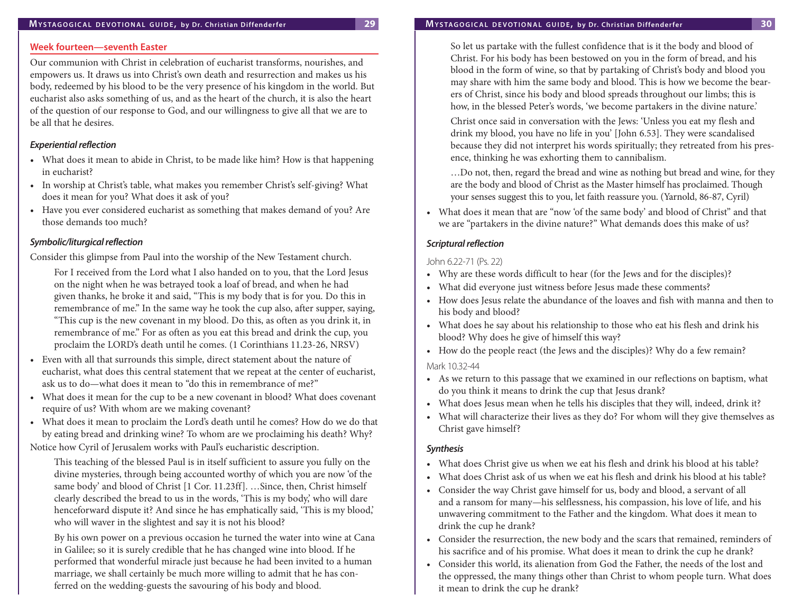## **Week fourteen—seventh Easter**

Our communion with Christ in celebration of eucharist transforms, nourishes, and empowers us. It draws us into Christ's own death and resurrection and makes us his body, redeemed by his blood to be the very presence of his kingdom in the world. But eucharist also asks something of us, and as the heart of the church, it is also the heart of the question of our response to God, and our willingness to give all that we are to be all that he desires.

# *Experiential reflection*

- • What does it mean to abide in Christ, to be made like him? How is that happening in eucharist?
- In worship at Christ's table, what makes you remember Christ's self-giving? What does it mean for you? What does it ask of you?
- Have you ever considered eucharist as something that makes demand of you? Are those demands too much?

# *Symbolic/liturgical reflection*

Consider this glimpse from Paul into the worship of the New Testament church.

For I received from the Lord what I also handed on to you, that the Lord Jesus on the night when he was betrayed took a loaf of bread, and when he had given thanks, he broke it and said, "This is my body that is for you. Do this in remembrance of me." In the same way he took the cup also, after supper, saying, "This cup is the new covenant in my blood. Do this, as often as you drink it, in remembrance of me." For as often as you eat this bread and drink the cup, you proclaim the LORD's death until he comes. (1 Corinthians 11.23-26, NRSV)

- • Even with all that surrounds this simple, direct statement about the nature of eucharist, what does this central statement that we repeat at the center of eucharist, ask us to do—what does it mean to "do this in remembrance of me?"
- • What does it mean for the cup to be a new covenant in blood? What does covenant require of us? With whom are we making covenant?
- • What does it mean to proclaim the Lord's death until he comes? How do we do that by eating bread and drinking wine? To whom are we proclaiming his death? Why? Notice how Cyril of Jerusalem works with Paul's eucharistic description.

This teaching of the blessed Paul is in itself sufficient to assure you fully on the divine mysteries, through being accounted worthy of which you are now 'of the same body' and blood of Christ [1 Cor. 11.23ff]. …Since, then, Christ himself clearly described the bread to us in the words, 'This is my body,' who will dare henceforward dispute it? And since he has emphatically said, 'This is my blood,' who will waver in the slightest and say it is not his blood?

By his own power on a previous occasion he turned the water into wine at Cana in Galilee; so it is surely credible that he has changed wine into blood. If he performed that wonderful miracle just because he had been invited to a human marriage, we shall certainly be much more willing to admit that he has conferred on the wedding-guests the savouring of his body and blood.

#### MYSTAGOGICAL DEVOTIONAL GUIDE, by Dr. Christian Diffenderfer 29 MYSTAGOGICAL DEVOTIONAL GUIDE, by Dr. Christian Diffenderfer

So let us partake with the fullest confidence that is it the body and blood of Christ. For his body has been bestowed on you in the form of bread, and his blood in the form of wine, so that by partaking of Christ's body and blood you may share with him the same body and blood. This is how we become the bearers of Christ, since his body and blood spreads throughout our limbs; this is how, in the blessed Peter's words, 'we become partakers in the divine nature.'

Christ once said in conversation with the Jews: 'Unless you eat my flesh and drink my blood, you have no life in you' [John 6.53]. They were scandalised because they did not interpret his words spiritually; they retreated from his presence, thinking he was exhorting them to cannibalism.

…Do not, then, regard the bread and wine as nothing but bread and wine, for they are the body and blood of Christ as the Master himself has proclaimed. Though your senses suggest this to you, let faith reassure you. (Yarnold, 86-87, Cyril)

• What does it mean that are "now 'of the same body' and blood of Christ" and that we are "partakers in the divine nature?" What demands does this make of us?

# *Scriptural reflection*

## John 6.22-71 (Ps. 22)

- Why are these words difficult to hear (for the Jews and for the disciples)?
- • What did everyone just witness before Jesus made these comments?
- How does Jesus relate the abundance of the loaves and fish with manna and then to his body and blood?
- What does he say about his relationship to those who eat his flesh and drink his blood? Why does he give of himself this way?
- • How do the people react (the Jews and the disciples)? Why do a few remain?

# Mark 10.32-44

- • As we return to this passage that we examined in our reflections on baptism, what do you think it means to drink the cup that Jesus drank?
- • What does Jesus mean when he tells his disciples that they will, indeed, drink it?
- What will characterize their lives as they do? For whom will they give themselves as Christ gave himself?

- What does Christ give us when we eat his flesh and drink his blood at his table?
- What does Christ ask of us when we eat his flesh and drink his blood at his table?
- Consider the way Christ gave himself for us, body and blood, a servant of all and a ransom for many—his selflessness, his compassion, his love of life, and his unwavering commitment to the Father and the kingdom. What does it mean to drink the cup he drank?
- • Consider the resurrection, the new body and the scars that remained, reminders of his sacrifice and of his promise. What does it mean to drink the cup he drank?
- Consider this world, its alienation from God the Father, the needs of the lost and the oppressed, the many things other than Christ to whom people turn. What does it mean to drink the cup he drank?